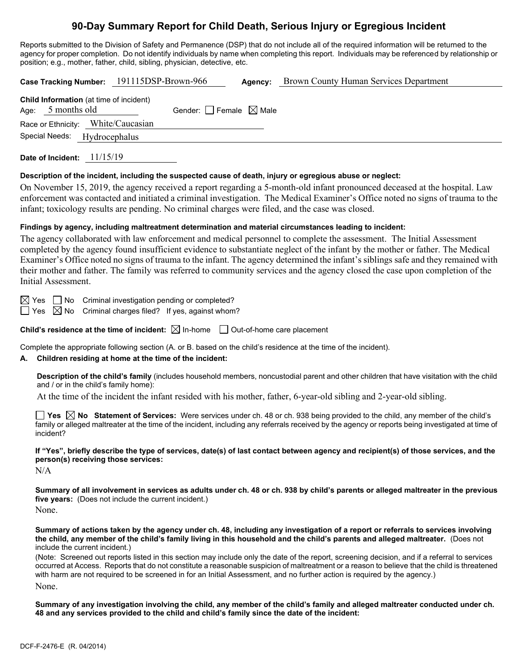# **90-Day Summary Report for Child Death, Serious Injury or Egregious Incident**

Reports submitted to the Division of Safety and Permanence (DSP) that do not include all of the required information will be returned to the agency for proper completion. Do not identify individuals by name when completing this report. Individuals may be referenced by relationship or position; e.g., mother, father, child, sibling, physician, detective, etc.

**Case Tracking Number:** 191115DSP-Brown-966 **Agency:** Brown County Human Services Department **Child Information** (at time of incident) Age:  $5$  months old Gender:  $\Box$  Female  $\boxtimes$  Male Race or Ethnicity: White/Caucasian Special Needs: Hydrocephalus

**Date of Incident:** 11/15/19

#### **Description of the incident, including the suspected cause of death, injury or egregious abuse or neglect:**

On November 15, 2019, the agency received a report regarding a 5-month-old infant pronounced deceased at the hospital. Law enforcement was contacted and initiated a criminal investigation. The Medical Examiner's Office noted no signs of trauma to the infant; toxicology results are pending. No criminal charges were filed, and the case was closed.

#### **Findings by agency, including maltreatment determination and material circumstances leading to incident:**

The agency collaborated with law enforcement and medical personnel to complete the assessment. The Initial Assessment completed by the agency found insufficient evidence to substantiate neglect of the infant by the mother or father. The Medical Examiner's Office noted no signs of trauma to the infant. The agency determined the infant's siblings safe and they remained with their mother and father. The family was referred to community services and the agency closed the case upon completion of the Initial Assessment.

 $\boxtimes$  Yes  $\Box$  No Criminal investigation pending or completed?

 $\Box$  Yes  $\boxtimes$  No Criminal charges filed? If yes, against whom?

**Child's residence at the time of incident:**  $\boxtimes$  In-home  $\Box$  Out-of-home care placement

Complete the appropriate following section (A. or B. based on the child's residence at the time of the incident).

#### **A. Children residing at home at the time of the incident:**

**Description of the child's family** (includes household members, noncustodial parent and other children that have visitation with the child and / or in the child's family home):

At the time of the incident the infant resided with his mother, father, 6-year-old sibling and 2-year-old sibling.

**Yes No Statement of Services:** Were services under ch. 48 or ch. 938 being provided to the child, any member of the child's family or alleged maltreater at the time of the incident, including any referrals received by the agency or reports being investigated at time of incident?

**If "Yes", briefly describe the type of services, date(s) of last contact between agency and recipient(s) of those services, and the person(s) receiving those services:**

N/A

**Summary of all involvement in services as adults under ch. 48 or ch. 938 by child's parents or alleged maltreater in the previous five years:** (Does not include the current incident.)

None.

**Summary of actions taken by the agency under ch. 48, including any investigation of a report or referrals to services involving the child, any member of the child's family living in this household and the child's parents and alleged maltreater.** (Does not include the current incident.)

(Note: Screened out reports listed in this section may include only the date of the report, screening decision, and if a referral to services occurred at Access. Reports that do not constitute a reasonable suspicion of maltreatment or a reason to believe that the child is threatened with harm are not required to be screened in for an Initial Assessment, and no further action is required by the agency.) None.

**Summary of any investigation involving the child, any member of the child's family and alleged maltreater conducted under ch. 48 and any services provided to the child and child's family since the date of the incident:**